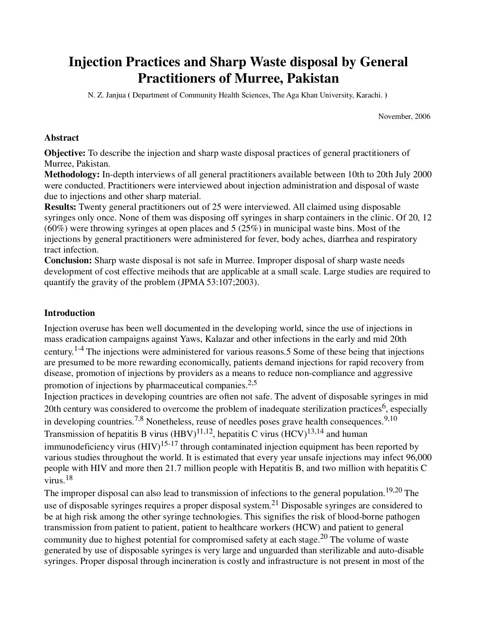# **Injection Practices and Sharp Waste disposal by General Practitioners of Murree, Pakistan**

N. Z. Janjua **(** Department of Community Health Sciences, The Aga Khan University, Karachi. **)** 

November, 2006

### **Abstract**

**Objective:** To describe the injection and sharp waste disposal practices of general practitioners of Murree, Pakistan.

**Methodology:** In-depth interviews of all general practitioners available between 10th to 20th July 2000 were conducted. Practitioners were interviewed about injection administration and disposal of waste due to injections and other sharp material.

**Results:** Twenty general practitioners out of 25 were interviewed. All claimed using disposable syringes only once. None of them was disposing off syringes in sharp containers in the clinic. Of 20, 12  $(60\%)$  were throwing syringes at open places and 5 (25%) in municipal waste bins. Most of the injections by general practitioners were administered for fever, body aches, diarrhea and respiratory tract infection.

**Conclusion:** Sharp waste disposal is not safe in Murree. Improper disposal of sharp waste needs development of cost effective meihods that are applicable at a small scale. Large studies are required to quantify the gravity of the problem (JPMA 53:107;2003).

## **Introduction**

Injection overuse has been well documented in the developing world, since the use of injections in mass eradication campaigns against Yaws, Kalazar and other infections in the early and mid 20th century.1-4 The injections were administered for various reasons.5 Some of these being that injections are presumed to be more rewarding economically, patients demand injections for rapid recovery from disease, promotion of injections by providers as a means to reduce non-compliance and aggressive promotion of injections by pharmaceutical companies.<sup>2,5</sup>

Injection practices in developing countries are often not safe. The advent of disposable syringes in mid 20th century was considered to overcome the problem of inadequate sterilization practices<sup>6</sup>, especially in developing countries.<sup>7,8</sup> Nonetheless, reuse of needles poses grave health consequences.<sup>9,10</sup> Transmission of hepatitis B virus  $(HBV)^{11,12}$ , hepatitis C virus  $(HCV)^{13,14}$  and human immunodeficiency virus  $(HIV)^{15-17}$  through contaminated injection equipment has been reported by various studies throughout the world. It is estimated that every year unsafe injections may infect 96,000 people with HIV and more then 21.7 million people with Hepatitis B, and two million with hepatitis C virus.<sup>18</sup>

The improper disposal can also lead to transmission of infections to the general population.<sup>19,20</sup> The use of disposable syringes requires a proper disposal system.<sup>21</sup> Disposable syringes are considered to be at high risk among the other syringe technologies. This signifies the risk of blood-borne pathogen transmission from patient to patient, patient to healthcare workers (HCW) and patient to general community due to highest potential for compromised safety at each stage.<sup>20</sup> The volume of waste generated by use of disposable syringes is very large and unguarded than sterilizable and auto-disable syringes. Proper disposal through incineration is costly and infrastructure is not present in most of the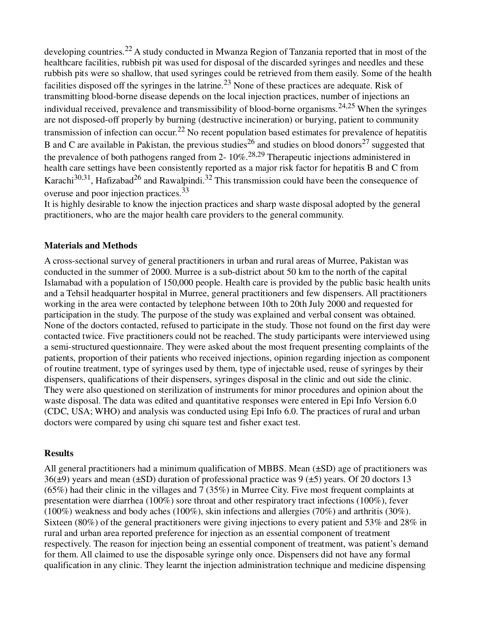developing countries.<sup>22</sup> A study conducted in Mwanza Region of Tanzania reported that in most of the healthcare facilities, rubbish pit was used for disposal of the discarded syringes and needles and these rubbish pits were so shallow, that used syringes could be retrieved from them easily. Some of the health facilities disposed off the syringes in the latrine.<sup>23</sup> None of these practices are adequate. Risk of transmitting blood-borne disease depends on the local injection practices, number of injections an individual received, prevalence and transmissibility of blood-borne organisms.<sup>24,25</sup> When the syringes are not disposed-off properly by burning (destructive incineration) or burying, patient to community transmission of infection can occur.<sup>22</sup> No recent population based estimates for prevalence of hepatitis B and C are available in Pakistan, the previous studies<sup>26</sup> and studies on blood donors<sup>27</sup> suggested that the prevalence of both pathogens ranged from 2- 10%.28,29 Therapeutic injections administered in health care settings have been consistently reported as a major risk factor for hepatitis B and C from Karachi $30,31$ , Hafizabad<sup>26</sup> and Rawalpindi.<sup>32</sup> This transmission could have been the consequence of overuse and poor injection practices.<sup>33</sup>

It is highly desirable to know the injection practices and sharp waste disposal adopted by the general practitioners, who are the major health care providers to the general community.

## **Materials and Methods**

A cross-sectional survey of general practitioners in urban and rural areas of Murree, Pakistan was conducted in the summer of 2000. Murree is a sub-district about 50 km to the north of the capital Islamabad with a population of 150,000 people. Health care is provided by the public basic health units and a Tehsil headquarter hospital in Murree, general practitioners and few dispensers. All practitioners working in the area were contacted by telephone between 10th to 20th July 2000 and requested for participation in the study. The purpose of the study was explained and verbal consent was obtained. None of the doctors contacted, refused to participate in the study. Those not found on the first day were contacted twice. Five practitioners could not be reached. The study participants were interviewed using a semi-structured questionnaire. They were asked about the most frequent presenting complaints of the patients, proportion of their patients who received injections, opinion regarding injection as component of routine treatment, type of syringes used by them, type of injectable used, reuse of syringes by their dispensers, qualifications of their dispensers, syringes disposal in the clinic and out side the clinic. They were also questioned on sterilization of instruments for minor procedures and opinion about the waste disposal. The data was edited and quantitative responses were entered in Epi Info Version 6.0 (CDC, USA; WHO) and analysis was conducted using Epi Info 6.0. The practices of rural and urban doctors were compared by using chi square test and fisher exact test.

## **Results**

All general practitioners had a minimum qualification of MBBS. Mean  $(\pm SD)$  age of practitioners was  $36(\pm 9)$  years and mean ( $\pm$ SD) duration of professional practice was 9 ( $\pm$ 5) years. Of 20 doctors 13  $(65%)$  had their clinic in the villages and 7 (35%) in Murree City. Five most frequent complaints at presentation were diarrhea (100%) sore throat and other respiratory tract infections (100%), fever (100%) weakness and body aches (100%), skin infections and allergies (70%) and arthritis (30%). Sixteen (80%) of the general practitioners were giving injections to every patient and 53% and 28% in rural and urban area reported preference for injection as an essential component of treatment respectively. The reason for injection being an essential component of treatment, was patient's demand for them. All claimed to use the disposable syringe only once. Dispensers did not have any formal qualification in any clinic. They learnt the injection administration technique and medicine dispensing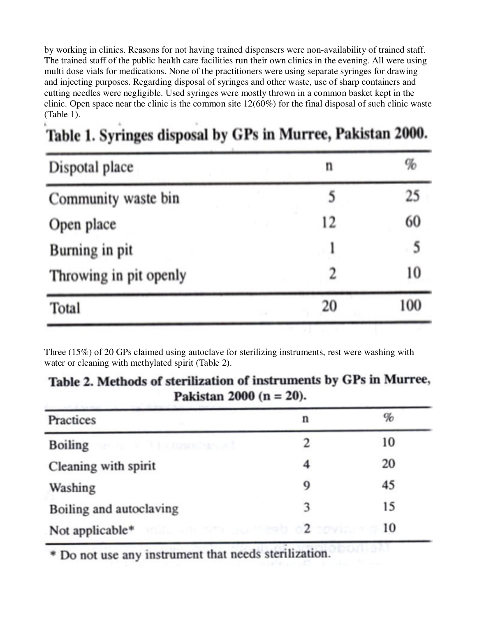by working in clinics. Reasons for not having trained dispensers were non-availability of trained staff. The trained staff of the public health care facilities run their own clinics in the evening. All were using multi dose vials for medications. None of the practitioners were using separate syringes for drawing and injecting purposes. Regarding disposal of syringes and other waste, use of sharp containers and cutting needles were negligible. Used syringes were mostly thrown in a common basket kept in the clinic. Open space near the clinic is the common site 12(60%) for the final disposal of such clinic waste (Table 1).

| Dispotal place         | n  | $\%$ |  |
|------------------------|----|------|--|
| Community waste bin    |    | 25   |  |
| Open place             | 12 | 60   |  |
| Burning in pit         |    | 5    |  |
| Throwing in pit openly |    | 10   |  |
| Total                  | 20 | 100  |  |

# Table 1. Syringes disposal by GPs in Murree, Pakistan 2000.

Three (15%) of 20 GPs claimed using autoclave for sterilizing instruments, rest were washing with water or cleaning with methylated spirit (Table 2).

# Table 2. Methods of sterilization of instruments by GPs in Murree, Pakistan 2000 ( $n = 20$ ).

| Practices                          | n | %  |
|------------------------------------|---|----|
| Boiling are a set the resonance of |   | 10 |
| Cleaning with spirit               |   | 20 |
| Washing                            | 9 | 45 |
| Boiling and autoclaving            | 3 | 15 |
|                                    |   |    |

\* Do not use any instrument that needs sterilization.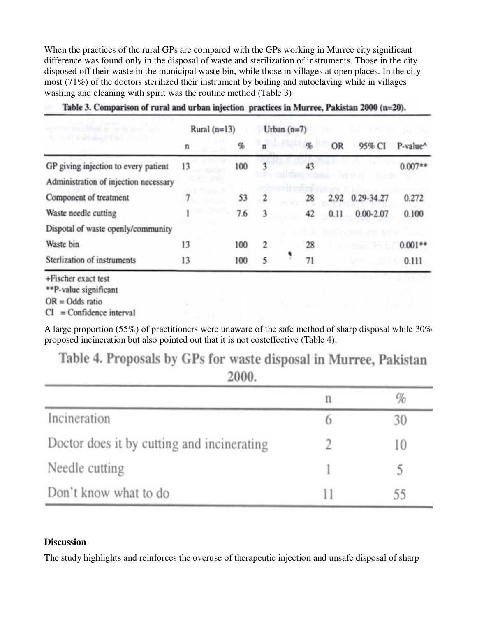When the practices of the rural GPs are compared with the GPs working in Murree city significant difference was found only in the disposal of waste and sterilization of instruments. Those in the city disposed off their waste in the municipal waste bin, while those in villages at open places. In the city most (71%) of the doctors sterilized their instrument by boiling and autoclaving while in villages washing and cleaning with spirit was the routine method (Table 3)

|                                              | Rural $(n=13)$ |              | Urban $(n=7)$           |               |                |           |                      |           |
|----------------------------------------------|----------------|--------------|-------------------------|---------------|----------------|-----------|----------------------|-----------|
| HE FORT BENGALT THE AN INC.                  | n              | %            |                         | <b>Kemata</b> | q <sub>b</sub> | <b>OR</b> | 95% CI               | P-value^  |
| GP giving injection to every patient         | 13             | 100          | 3                       |               | 43             |           |                      | $0.007**$ |
| Administration of injection necessary        | YE ZE DOM      |              |                         |               |                |           | 0.033                |           |
| Component of treatment                       |                | 100005<br>53 | $\overline{\mathbf{c}}$ |               | 28             | 2.92      | 0.29-34.27           | 0.272     |
| Waste needle cutting                         |                | 7.6          | 3                       |               | 42             | 0.11      | $0.00 - 2.07$        | 0.100     |
| Dispotal of waste openly/community           |                |              |                         |               |                |           | tule nannou ar arthr |           |
| Waste bin                                    | 13             | 100          | 2                       |               | 28             |           | ORRESTS FOLK         | $0.001**$ |
| Sterlization of instruments                  | 13             | 100          | 5                       |               | 71             |           | <b>BPW . 2011</b>    | 0.111     |
| +Fischer exact test<br>**P-value significant |                |              |                         |               |                |           |                      |           |

Table 3. Comparison of rural and urban injection practices in Murree, Pakistan 2000 (n=20).

 $OR = Odds$  ratio

 $CI = Confidence interval$ 

A large proportion (55%) of practitioners were unaware of the safe method of sharp disposal while 30% proposed incineration but also pointed out that it is not costeffective (Table 4).

Table 4. Proposals by GPs for waste disposal in Murree, Pakistan 2000.

|                                            | n | $\%$ |
|--------------------------------------------|---|------|
| Incineration                               |   | 30   |
| Doctor does it by cutting and incinerating |   | 10   |
| Needle cutting                             |   |      |
| Don't know what to do                      |   | 55   |

# **Discussion**

The study highlights and reinforces the overuse of therapeutic injection and unsafe disposal of sharp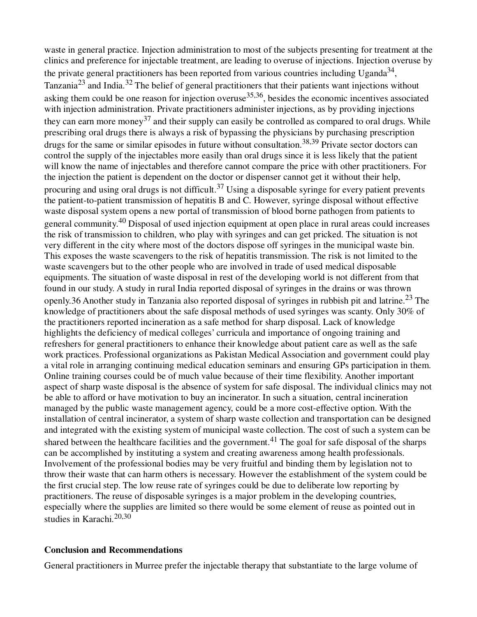waste in general practice. Injection administration to most of the subjects presenting for treatment at the clinics and preference for injectable treatment, are leading to overuse of injections. Injection overuse by the private general practitioners has been reported from various countries including Uganda<sup>34</sup>, Tanzania<sup>23</sup> and India.<sup>32</sup> The belief of general practitioners that their patients want injections without asking them could be one reason for injection overuse  $35,36$ , besides the economic incentives associated with injection administration. Private practitioners administer injections, as by providing injections they can earn more money<sup>37</sup> and their supply can easily be controlled as compared to oral drugs. While prescribing oral drugs there is always a risk of bypassing the physicians by purchasing prescription drugs for the same or similar episodes in future without consultation.<sup>38,39</sup> Private sector doctors can control the supply of the injectables more easily than oral drugs since it is less likely that the patient will know the name of injectables and therefore cannot compare the price with other practitioners. For the injection the patient is dependent on the doctor or dispenser cannot get it without their help, procuring and using oral drugs is not difficult.<sup>37</sup> Using a disposable syringe for every patient prevents the patient-to-patient transmission of hepatitis B and C. However, syringe disposal without effective waste disposal system opens a new portal of transmission of blood borne pathogen from patients to general community.<sup>40</sup> Disposal of used injection equipment at open place in rural areas could increases the risk of transmission to children, who play with syringes and can get pricked. The situation is not very different in the city where most of the doctors dispose off syringes in the municipal waste bin. This exposes the waste scavengers to the risk of hepatitis transmission. The risk is not limited to the waste scavengers but to the other people who are involved in trade of used medical disposable equipments. The situation of waste disposal in rest of the developing world is not different from that found in our study. A study in rural India reported disposal of syringes in the drains or was thrown openly.36 Another study in Tanzania also reported disposal of syringes in rubbish pit and latrine.<sup>23</sup> The knowledge of practitioners about the safe disposal methods of used syringes was scanty. Only 30% of the practitioners reported incineration as a safe method for sharp disposal. Lack of knowledge highlights the deficiency of medical colleges' curricula and importance of ongoing training and refreshers for general practitioners to enhance their knowledge about patient care as well as the safe work practices. Professional organizations as Pakistan Medical Association and government could play a vital role in arranging continuing medical education seminars and ensuring GPs participation in them. Online training courses could be of much value because of their time flexibility. Another important aspect of sharp waste disposal is the absence of system for safe disposal. The individual clinics may not be able to afford or have motivation to buy an incinerator. In such a situation, central incineration managed by the public waste management agency, could be a more cost-effective option. With the installation of central incinerator, a system of sharp waste collection and transportation can be designed and integrated with the existing system of municipal waste collection. The cost of such a system can be shared between the healthcare facilities and the government.<sup>41</sup> The goal for safe disposal of the sharps can be accomplished by instituting a system and creating awareness among health professionals. Involvement of the professional bodies may be very fruitful and binding them by legislation not to throw their waste that can harm others is necessary. However the establishment of the system could be the first crucial step. The low reuse rate of syringes could be due to deliberate low reporting by practitioners. The reuse of disposable syringes is a major problem in the developing countries, especially where the supplies are limited so there would be some element of reuse as pointed out in studies in Karachi.<sup>20,30</sup>

#### **Conclusion and Recommendations**

General practitioners in Murree prefer the injectable therapy that substantiate to the large volume of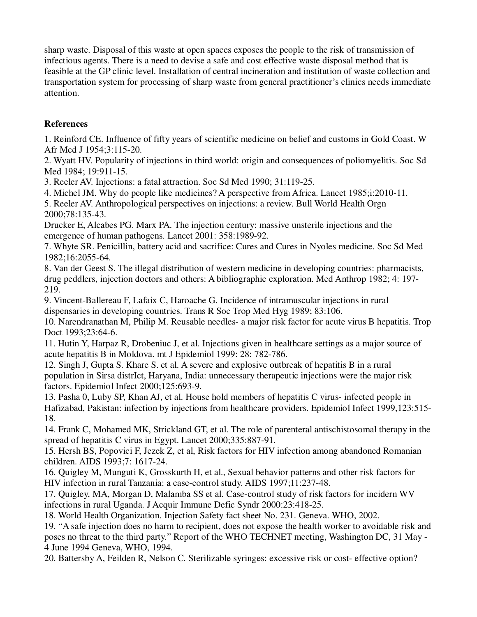sharp waste. Disposal of this waste at open spaces exposes the people to the risk of transmission of infectious agents. There is a need to devise a safe and cost effective waste disposal method that is feasible at the GP clinic level. Installation of central incineration and institution of waste collection and transportation system for processing of sharp waste from general practitioner's clinics needs immediate attention.

# **References**

1. Reinford CE. Influence of fifty years of scientific medicine on belief and customs in Gold Coast. W Afr Mcd J 1954;3:115-20.

2. Wyatt HV. Popularity of injections in third world: origin and consequences of poliomyelitis. Soc Sd Med 1984; 19:911-15.

3. Reeler AV. Injections: a fatal attraction. Soc Sd Med 1990; 31:119-25.

4. Michel JM. Why do people like medicines? A perspective from Africa. Lancet 1985;i:2010-11.

5. Reeler AV. Anthropological perspectives on injections: a review. Bull World Health Orgn 2000;78:135-43.

Drucker E, Alcabes PG. Marx PA. The injection century: massive unsterile injections and the emergence of human pathogens. Lancet 2001: 358:1989-92.

7. Whyte SR. Penicillin, battery acid and sacrifice: Cures and Cures in Nyoles medicine. Soc Sd Med 1982;16:2055-64.

8. Van der Geest S. The illegal distribution of western medicine in developing countries: pharmacists, drug peddlers, injection doctors and others: A bibliographic exploration. Med Anthrop 1982; 4: 197- 219.

9. Vincent-Ballereau F, Lafaix C, Haroache G. Incidence of intramuscular injections in rural dispensaries in developing countries. Trans R Soc Trop Med Hyg 1989; 83:106.

10. Narendranathan M, Philip M. Reusable needles- a major risk factor for acute virus B hepatitis. Trop Doct 1993;23:64-6.

11. Hutin Y, Harpaz R, Drobeniuc J, et al. Injections given in healthcare settings as a major source of acute hepatitis B in Moldova. mt J Epidemiol 1999: 28: 782-786.

12. Singh J, Gupta S. Khare S. et al. A severe and explosive outbreak of hepatitis B in a rural population in Sirsa distrIct, Haryana, India: unnecessary therapeutic injections were the major risk factors. Epidemiol Infect 2000;125:693-9.

13. Pasha 0, Luby SP, Khan AJ, et al. House hold members of hepatitis C virus- infected people in Hafizabad, Pakistan: infection by injections from healthcare providers. Epidemiol Infect 1999,123:515- 18.

14. Frank C, Mohamed MK, Strickland GT, et al. The role of parenteral antischistosomal therapy in the spread of hepatitis C virus in Egypt. Lancet 2000;335:887-91.

15. Hersh BS, Popovici F, Jezek Z, et al, Risk factors for HIV infection among abandoned Romanian children. AIDS 1993;7: 1617-24.

16. Quigley M, Munguti K, Grosskurth H, et al., Sexual behavior patterns and other risk factors for HIV infection in rural Tanzania: a case-control study. AIDS 1997;11:237-48.

17. Quigley, MA, Morgan D, Malamba SS et al. Case-control study of risk factors for incidern WV infections in rural Uganda. J Acquir Immune Defic Syndr 2000:23:418-25.

18. World Health Organization. Injection Safety fact sheet No. 231. Geneva. WHO, 2002.

19. "A safe injection does no harm to recipient, does not expose the health worker to avoidable risk and poses no threat to the third party." Report of the WHO TECHNET meeting, Washington DC, 31 May - 4 June 1994 Geneva, WHO, 1994.

20. Battersby A, Feilden R, Nelson C. Sterilizable syringes: excessive risk or cost- effective option?